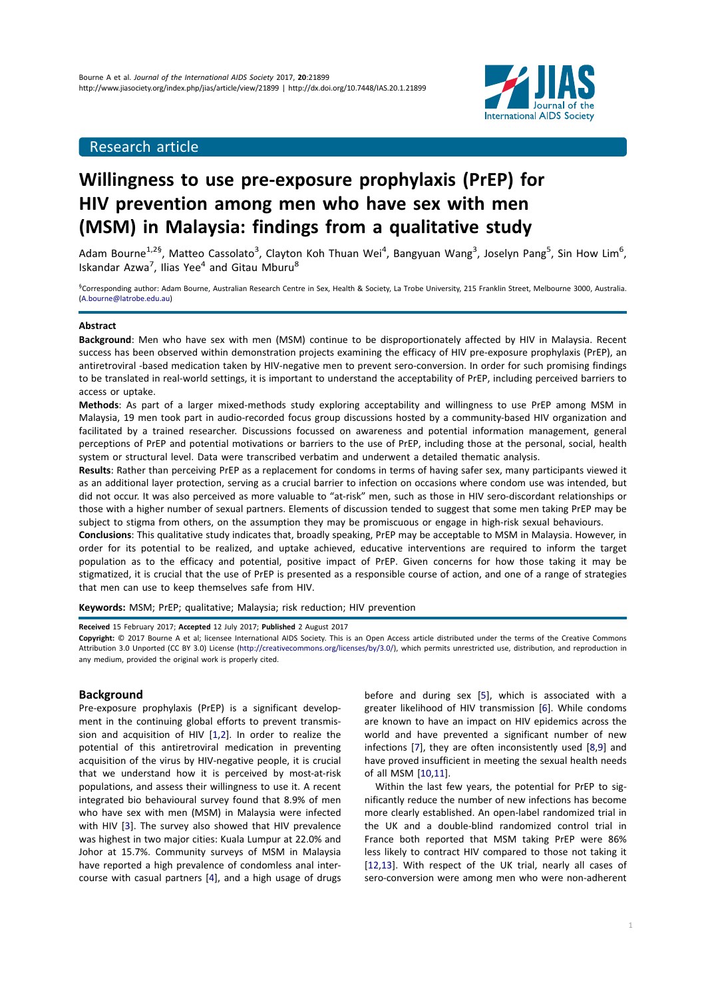

# Research article

# Willingness to use pre-exposure prophylaxis (PrEP) for HIV prevention among men who have sex with men (MSM) in Malaysia: findings from a qualitative study

Adam Bourne<sup>1,2§</sup>, Matteo Cassolato<sup>3</sup>, Clayton Koh Thuan Wei<sup>4</sup>, Bangyuan Wang<sup>3</sup>, Joselyn Pang<sup>5</sup>, Sin How Lim<sup>6</sup>, Iskandar Azwa<sup>7</sup>, Ilias Yee<sup>4</sup> and Gitau Mburu<sup>8</sup>

<sup>§</sup>Corresponding author: Adam Bourne, Australian Research Centre in Sex, Health & Society, La Trobe University, 215 Franklin Street, Melbourne 3000, Australia. (A.bourne@latrobe.edu.au)

## Abstract

Background: Men who have sex with men (MSM) continue to be disproportionately affected by HIV in Malaysia. Recent success has been observed within demonstration projects examining the efficacy of HIV pre-exposure prophylaxis (PrEP), an antiretroviral -based medication taken by HIV-negative men to prevent sero-conversion. In order for such promising findings to be translated in real-world settings, it is important to understand the acceptability of PrEP, including perceived barriers to access or uptake.

Methods: As part of a larger mixed-methods study exploring acceptability and willingness to use PrEP among MSM in Malaysia, 19 men took part in audio-recorded focus group discussions hosted by a community-based HIV organization and facilitated by a trained researcher. Discussions focussed on awareness and potential information management, general perceptions of PrEP and potential motivations or barriers to the use of PrEP, including those at the personal, social, health system or structural level. Data were transcribed verbatim and underwent a detailed thematic analysis.

Results: Rather than perceiving PrEP as a replacement for condoms in terms of having safer sex, many participants viewed it as an additional layer protection, serving as a crucial barrier to infection on occasions where condom use was intended, but did not occur. It was also perceived as more valuable to "at-risk" men, such as those in HIV sero-discordant relationships or those with a higher number of sexual partners. Elements of discussion tended to suggest that some men taking PrEP may be subject to stigma from others, on the assumption they may be promiscuous or engage in high-risk sexual behaviours.

Conclusions: This qualitative study indicates that, broadly speaking, PrEP may be acceptable to MSM in Malaysia. However, in order for its potential to be realized, and uptake achieved, educative interventions are required to inform the target population as to the efficacy and potential, positive impact of PrEP. Given concerns for how those taking it may be stigmatized, it is crucial that the use of PrEP is presented as a responsible course of action, and one of a range of strategies that men can use to keep themselves safe from HIV.

Keywords: MSM; PrEP; qualitative; Malaysia; risk reduction; HIV prevention

Received 15 February 2017; Accepted 12 July 2017; Published 2 August 2017

Copyright: © 2017 Bourne A et al; licensee International AIDS Society. This is an Open Access article distributed under the terms of the Creative Commons Attribution 3.0 Unported (CC BY 3.0) License (http://creativecommons.org/licenses/by/3.0/), which permits unrestricted use, distribution, and reproduction in any medium, provided the original work is properly cited.

## Background

<span id="page-0-2"></span><span id="page-0-1"></span><span id="page-0-0"></span>Pre-exposure prophylaxis (PrEP) is a significant development in the continuing global efforts to prevent transmission and acquisition of HIV [\[1,](#page-5-0)[2\]](#page-5-1). In order to realize the potential of this antiretroviral medication in preventing acquisition of the virus by HIV-negative people, it is crucial that we understand how it is perceived by most-at-risk populations, and assess their willingness to use it. A recent integrated bio behavioural survey found that 8.9% of men who have sex with men (MSM) in Malaysia were infected with HIV [\[3\]](#page-5-2). The survey also showed that HIV prevalence was highest in two major cities: Kuala Lumpur at 22.0% and Johor at 15.7%. Community surveys of MSM in Malaysia have reported a high prevalence of condomless anal intercourse with casual partners [\[4\]](#page-5-3), and a high usage of drugs <span id="page-0-4"></span><span id="page-0-3"></span>before and during sex [[5](#page-5-4)], which is associated with a greater likelihood of HIV transmission [\[6\]](#page-5-5). While condoms are known to have an impact on HIV epidemics across the world and have prevented a significant number of new infections [[7](#page-5-6)], they are often inconsistently used [\[8](#page-5-7)[,9\]](#page-5-8) and have proved insufficient in meeting the sexual health needs of all MSM [[10,](#page-5-9)[11](#page-5-10)].

<span id="page-0-7"></span><span id="page-0-6"></span><span id="page-0-5"></span>Within the last few years, the potential for PrEP to significantly reduce the number of new infections has become more clearly established. An open-label randomized trial in the UK and a double-blind randomized control trial in France both reported that MSM taking PrEP were 86% less likely to contract HIV compared to those not taking it [\[12](#page-5-11),[13\]](#page-5-12). With respect of the UK trial, nearly all cases of sero-conversion were among men who were non-adherent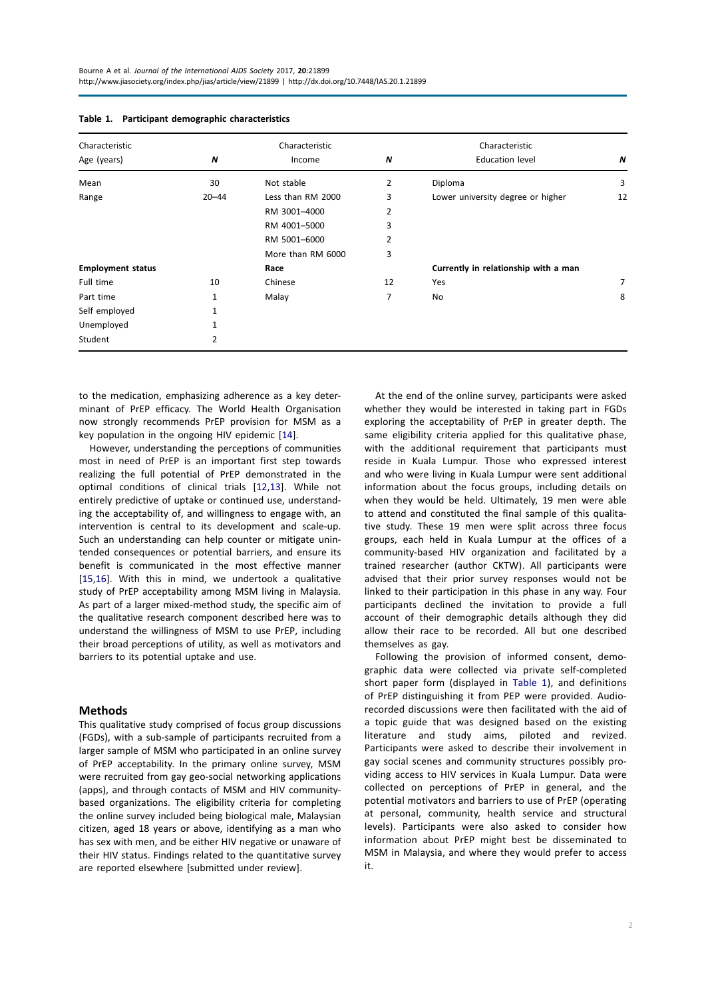| Characteristic           | Characteristic |                   |                | Characteristic                       |    |
|--------------------------|----------------|-------------------|----------------|--------------------------------------|----|
| Age (years)              | N              | Income            | N              | <b>Education level</b>               | N  |
| Mean                     | 30             | Not stable        | $\overline{2}$ | Diploma                              | 3  |
| Range                    | $20 - 44$      | Less than RM 2000 | 3              | Lower university degree or higher    | 12 |
|                          |                | RM 3001-4000      | 2              |                                      |    |
|                          |                | RM 4001-5000      | 3              |                                      |    |
|                          |                | RM 5001-6000      | 2              |                                      |    |
|                          |                | More than RM 6000 | 3              |                                      |    |
| <b>Employment status</b> |                | Race              |                | Currently in relationship with a man |    |
| Full time                | 10             | Chinese           | 12             | Yes                                  | 7  |
| Part time                | 1              | Malay             | 7              | No                                   | 8  |
| Self employed            | 1              |                   |                |                                      |    |
| Unemployed               | $\mathbf{1}$   |                   |                |                                      |    |
| Student                  | $\overline{2}$ |                   |                |                                      |    |

<span id="page-1-0"></span>

| Table 1. Participant demographic characteristics |  |
|--------------------------------------------------|--|
|--------------------------------------------------|--|

to the medication, emphasizing adherence as a key determinant of PrEP efficacy. The World Health Organisation now strongly recommends PrEP provision for MSM as a key population in the ongoing HIV epidemic [[14\]](#page-5-13).

<span id="page-1-2"></span><span id="page-1-1"></span>However, understanding the perceptions of communities most in need of PrEP is an important first step towards realizing the full potential of PrEP demonstrated in the optimal conditions of clinical trials [\[12](#page-5-11),[13\]](#page-5-12). While not entirely predictive of uptake or continued use, understanding the acceptability of, and willingness to engage with, an intervention is central to its development and scale-up. Such an understanding can help counter or mitigate unintended consequences or potential barriers, and ensure its benefit is communicated in the most effective manner [\[15,](#page-5-14)[16\]](#page-5-15). With this in mind, we undertook a qualitative study of PrEP acceptability among MSM living in Malaysia. As part of a larger mixed-method study, the specific aim of the qualitative research component described here was to understand the willingness of MSM to use PrEP, including their broad perceptions of utility, as well as motivators and barriers to its potential uptake and use.

## Methods

This qualitative study comprised of focus group discussions (FGDs), with a sub-sample of participants recruited from a larger sample of MSM who participated in an online survey of PrEP acceptability. In the primary online survey, MSM were recruited from gay geo-social networking applications (apps), and through contacts of MSM and HIV communitybased organizations. The eligibility criteria for completing the online survey included being biological male, Malaysian citizen, aged 18 years or above, identifying as a man who has sex with men, and be either HIV negative or unaware of their HIV status. Findings related to the quantitative survey are reported elsewhere [submitted under review].

At the end of the online survey, participants were asked whether they would be interested in taking part in FGDs exploring the acceptability of PrEP in greater depth. The same eligibility criteria applied for this qualitative phase, with the additional requirement that participants must reside in Kuala Lumpur. Those who expressed interest and who were living in Kuala Lumpur were sent additional information about the focus groups, including details on when they would be held. Ultimately, 19 men were able to attend and constituted the final sample of this qualitative study. These 19 men were split across three focus groups, each held in Kuala Lumpur at the offices of a community-based HIV organization and facilitated by a trained researcher (author CKTW). All participants were advised that their prior survey responses would not be linked to their participation in this phase in any way. Four participants declined the invitation to provide a full account of their demographic details although they did allow their race to be recorded. All but one described themselves as gay.

Following the provision of informed consent, demographic data were collected via private self-completed short paper form (displayed in [Table 1\)](#page-1-0), and definitions of PrEP distinguishing it from PEP were provided. Audiorecorded discussions were then facilitated with the aid of a topic guide that was designed based on the existing literature and study aims, piloted and revized. Participants were asked to describe their involvement in gay social scenes and community structures possibly providing access to HIV services in Kuala Lumpur. Data were collected on perceptions of PrEP in general, and the potential motivators and barriers to use of PrEP (operating at personal, community, health service and structural levels). Participants were also asked to consider how information about PrEP might best be disseminated to MSM in Malaysia, and where they would prefer to access it.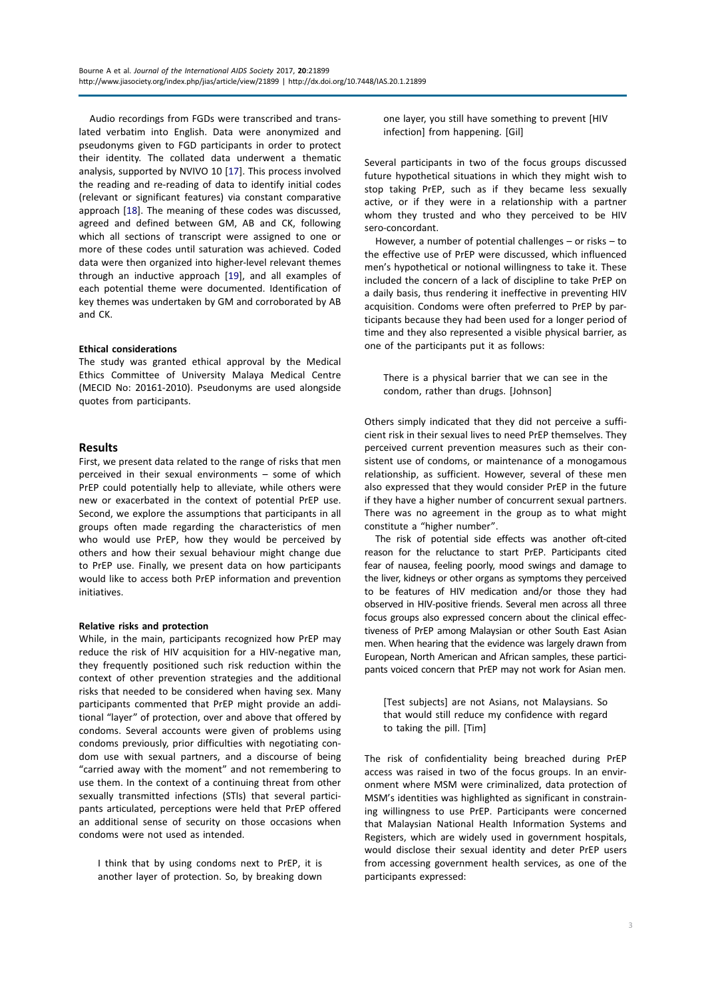<span id="page-2-1"></span><span id="page-2-0"></span>Audio recordings from FGDs were transcribed and translated verbatim into English. Data were anonymized and pseudonyms given to FGD participants in order to protect their identity. The collated data underwent a thematic analysis, supported by NVIVO 10 [[17\]](#page-5-16). This process involved the reading and re-reading of data to identify initial codes (relevant or significant features) via constant comparative approach [[18\]](#page-5-17). The meaning of these codes was discussed, agreed and defined between GM, AB and CK, following which all sections of transcript were assigned to one or more of these codes until saturation was achieved. Coded data were then organized into higher-level relevant themes through an inductive approach [\[19\]](#page-5-18), and all examples of each potential theme were documented. Identification of key themes was undertaken by GM and corroborated by AB and CK.

## <span id="page-2-2"></span>Ethical considerations

The study was granted ethical approval by the Medical Ethics Committee of University Malaya Medical Centre (MECID No: 20161-2010). Pseudonyms are used alongside quotes from participants.

## Results

First, we present data related to the range of risks that men perceived in their sexual environments – some of which PrEP could potentially help to alleviate, while others were new or exacerbated in the context of potential PrEP use. Second, we explore the assumptions that participants in all groups often made regarding the characteristics of men who would use PrEP, how they would be perceived by others and how their sexual behaviour might change due to PrEP use. Finally, we present data on how participants would like to access both PrEP information and prevention initiatives.

#### Relative risks and protection

While, in the main, participants recognized how PrEP may reduce the risk of HIV acquisition for a HIV-negative man, they frequently positioned such risk reduction within the context of other prevention strategies and the additional risks that needed to be considered when having sex. Many participants commented that PrEP might provide an additional "layer" of protection, over and above that offered by condoms. Several accounts were given of problems using condoms previously, prior difficulties with negotiating condom use with sexual partners, and a discourse of being "carried away with the moment" and not remembering to use them. In the context of a continuing threat from other sexually transmitted infections (STIs) that several participants articulated, perceptions were held that PrEP offered an additional sense of security on those occasions when condoms were not used as intended.

I think that by using condoms next to PrEP, it is another layer of protection. So, by breaking down one layer, you still have something to prevent [HIV infection] from happening. [Gil]

Several participants in two of the focus groups discussed future hypothetical situations in which they might wish to stop taking PrEP, such as if they became less sexually active, or if they were in a relationship with a partner whom they trusted and who they perceived to be HIV sero-concordant.

However, a number of potential challenges – or risks – to the effective use of PrEP were discussed, which influenced men's hypothetical or notional willingness to take it. These included the concern of a lack of discipline to take PrEP on a daily basis, thus rendering it ineffective in preventing HIV acquisition. Condoms were often preferred to PrEP by participants because they had been used for a longer period of time and they also represented a visible physical barrier, as one of the participants put it as follows:

There is a physical barrier that we can see in the condom, rather than drugs. [Johnson]

Others simply indicated that they did not perceive a sufficient risk in their sexual lives to need PrEP themselves. They perceived current prevention measures such as their consistent use of condoms, or maintenance of a monogamous relationship, as sufficient. However, several of these men also expressed that they would consider PrEP in the future if they have a higher number of concurrent sexual partners. There was no agreement in the group as to what might constitute a "higher number".

The risk of potential side effects was another oft-cited reason for the reluctance to start PrEP. Participants cited fear of nausea, feeling poorly, mood swings and damage to the liver, kidneys or other organs as symptoms they perceived to be features of HIV medication and/or those they had observed in HIV-positive friends. Several men across all three focus groups also expressed concern about the clinical effectiveness of PrEP among Malaysian or other South East Asian men. When hearing that the evidence was largely drawn from European, North American and African samples, these participants voiced concern that PrEP may not work for Asian men.

[Test subjects] are not Asians, not Malaysians. So that would still reduce my confidence with regard to taking the pill. [Tim]

The risk of confidentiality being breached during PrEP access was raised in two of the focus groups. In an environment where MSM were criminalized, data protection of MSM's identities was highlighted as significant in constraining willingness to use PrEP. Participants were concerned that Malaysian National Health Information Systems and Registers, which are widely used in government hospitals, would disclose their sexual identity and deter PrEP users from accessing government health services, as one of the participants expressed: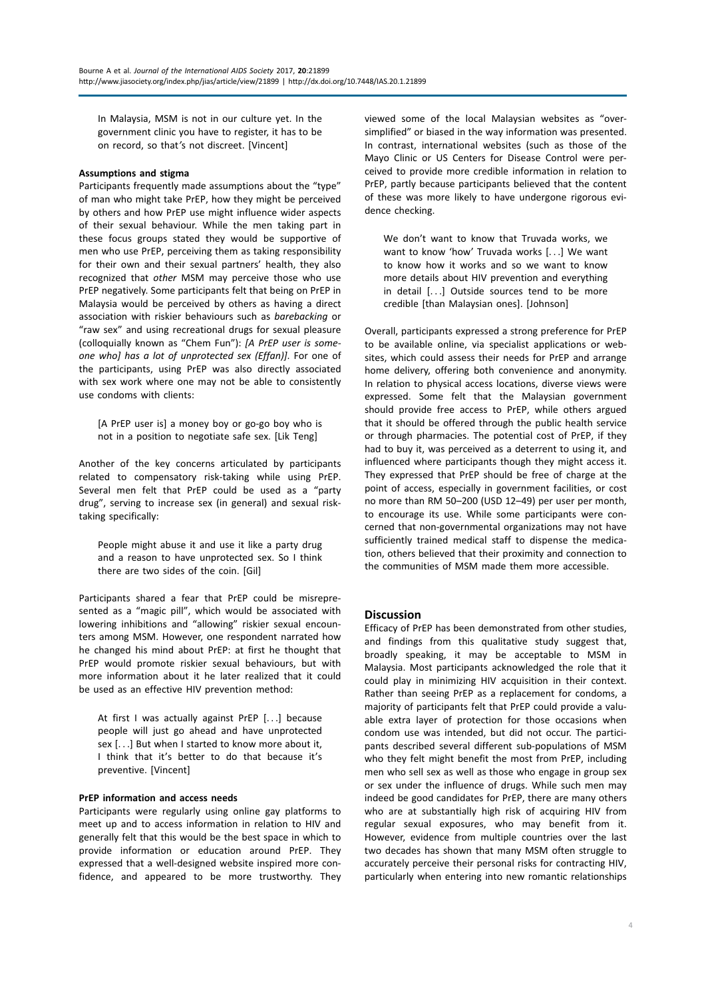In Malaysia, MSM is not in our culture yet. In the government clinic you have to register, it has to be on record, so that's not discreet. [Vincent]

## Assumptions and stigma

Participants frequently made assumptions about the "type" of man who might take PrEP, how they might be perceived by others and how PrEP use might influence wider aspects of their sexual behaviour. While the men taking part in these focus groups stated they would be supportive of men who use PrEP, perceiving them as taking responsibility for their own and their sexual partners' health, they also recognized that other MSM may perceive those who use PrEP negatively. Some participants felt that being on PrEP in Malaysia would be perceived by others as having a direct association with riskier behaviours such as barebacking or "raw sex" and using recreational drugs for sexual pleasure (colloquially known as "Chem Fun"): [A PrEP user is someone who] has a lot of unprotected sex (Effan)]. For one of the participants, using PrEP was also directly associated with sex work where one may not be able to consistently use condoms with clients:

[A PrEP user is] a money boy or go-go boy who is not in a position to negotiate safe sex. [Lik Teng]

Another of the key concerns articulated by participants related to compensatory risk-taking while using PrEP. Several men felt that PrEP could be used as a "party drug", serving to increase sex (in general) and sexual risktaking specifically:

People might abuse it and use it like a party drug and a reason to have unprotected sex. So I think there are two sides of the coin. [Gil]

Participants shared a fear that PrEP could be misrepresented as a "magic pill", which would be associated with lowering inhibitions and "allowing" riskier sexual encounters among MSM. However, one respondent narrated how he changed his mind about PrEP: at first he thought that PrEP would promote riskier sexual behaviours, but with more information about it he later realized that it could be used as an effective HIV prevention method:

At first I was actually against PrEP [...] because people will just go ahead and have unprotected sex [. . .] But when I started to know more about it, I think that it's better to do that because it's preventive. [Vincent]

## PrEP information and access needs

Participants were regularly using online gay platforms to meet up and to access information in relation to HIV and generally felt that this would be the best space in which to provide information or education around PrEP. They expressed that a well-designed website inspired more confidence, and appeared to be more trustworthy. They viewed some of the local Malaysian websites as "oversimplified" or biased in the way information was presented. In contrast, international websites (such as those of the Mayo Clinic or US Centers for Disease Control were perceived to provide more credible information in relation to PrEP, partly because participants believed that the content of these was more likely to have undergone rigorous evidence checking.

We don't want to know that Truvada works, we want to know 'how' Truvada works [...] We want to know how it works and so we want to know more details about HIV prevention and everything in detail [...] Outside sources tend to be more credible [than Malaysian ones]. [Johnson]

Overall, participants expressed a strong preference for PrEP to be available online, via specialist applications or websites, which could assess their needs for PrEP and arrange home delivery, offering both convenience and anonymity. In relation to physical access locations, diverse views were expressed. Some felt that the Malaysian government should provide free access to PrEP, while others argued that it should be offered through the public health service or through pharmacies. The potential cost of PrEP, if they had to buy it, was perceived as a deterrent to using it, and influenced where participants though they might access it. They expressed that PrEP should be free of charge at the point of access, especially in government facilities, or cost no more than RM 50–200 (USD 12–49) per user per month, to encourage its use. While some participants were concerned that non-governmental organizations may not have sufficiently trained medical staff to dispense the medication, others believed that their proximity and connection to the communities of MSM made them more accessible.

## **Discussion**

<span id="page-3-0"></span>Efficacy of PrEP has been demonstrated from other studies, and findings from this qualitative study suggest that, broadly speaking, it may be acceptable to MSM in Malaysia. Most participants acknowledged the role that it could play in minimizing HIV acquisition in their context. Rather than seeing PrEP as a replacement for condoms, a majority of participants felt that PrEP could provide a valuable extra layer of protection for those occasions when condom use was intended, but did not occur. The participants described several different sub-populations of MSM who they felt might benefit the most from PrEP, including men who sell sex as well as those who engage in group sex or sex under the influence of drugs. While such men may indeed be good candidates for PrEP, there are many others who are at substantially high risk of acquiring HIV from regular sexual exposures, who may benefit from it. However, evidence from multiple countries over the last two decades has shown that many MSM often struggle to accurately perceive their personal risks for contracting HIV, particularly when entering into new romantic relationships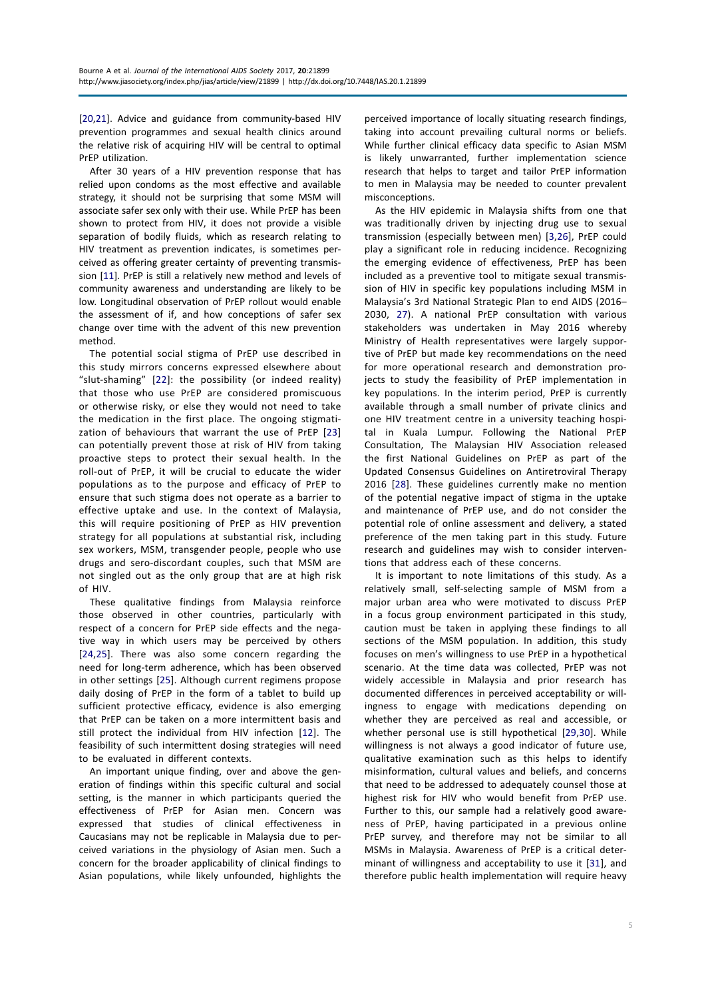[\[20,](#page-5-19)[21\]](#page-5-20). Advice and guidance from community-based HIV prevention programmes and sexual health clinics around the relative risk of acquiring HIV will be central to optimal PrEP utilization.

After 30 years of a HIV prevention response that has relied upon condoms as the most effective and available strategy, it should not be surprising that some MSM will associate safer sex only with their use. While PrEP has been shown to protect from HIV, it does not provide a visible separation of bodily fluids, which as research relating to HIV treatment as prevention indicates, is sometimes perceived as offering greater certainty of preventing transmission [\[11](#page-5-10)]. PrEP is still a relatively new method and levels of community awareness and understanding are likely to be low. Longitudinal observation of PrEP rollout would enable the assessment of if, and how conceptions of safer sex change over time with the advent of this new prevention method.

<span id="page-4-1"></span><span id="page-4-0"></span>The potential social stigma of PrEP use described in this study mirrors concerns expressed elsewhere about "slut-shaming" [\[22\]](#page-5-21): the possibility (or indeed reality) that those who use PrEP are considered promiscuous or otherwise risky, or else they would not need to take the medication in the first place. The ongoing stigmatization of behaviours that warrant the use of PrEP [\[23\]](#page-5-22) can potentially prevent those at risk of HIV from taking proactive steps to protect their sexual health. In the roll-out of PrEP, it will be crucial to educate the wider populations as to the purpose and efficacy of PrEP to ensure that such stigma does not operate as a barrier to effective uptake and use. In the context of Malaysia, this will require positioning of PrEP as HIV prevention strategy for all populations at substantial risk, including sex workers, MSM, transgender people, people who use drugs and sero-discordant couples, such that MSM are not singled out as the only group that are at high risk of HIV.

<span id="page-4-3"></span><span id="page-4-2"></span>These qualitative findings from Malaysia reinforce those observed in other countries, particularly with respect of a concern for PrEP side effects and the negative way in which users may be perceived by others [\[24,](#page-5-23)[25](#page-5-24)]. There was also some concern regarding the need for long-term adherence, which has been observed in other settings [[25](#page-5-24)]. Although current regimens propose daily dosing of PrEP in the form of a tablet to build up sufficient protective efficacy, evidence is also emerging that PrEP can be taken on a more intermittent basis and still protect the individual from HIV infection [[12](#page-5-11)]. The feasibility of such intermittent dosing strategies will need to be evaluated in different contexts.

An important unique finding, over and above the generation of findings within this specific cultural and social setting, is the manner in which participants queried the effectiveness of PrEP for Asian men. Concern was expressed that studies of clinical effectiveness in Caucasians may not be replicable in Malaysia due to perceived variations in the physiology of Asian men. Such a concern for the broader applicability of clinical findings to Asian populations, while likely unfounded, highlights the

perceived importance of locally situating research findings, taking into account prevailing cultural norms or beliefs. While further clinical efficacy data specific to Asian MSM is likely unwarranted, further implementation science research that helps to target and tailor PrEP information to men in Malaysia may be needed to counter prevalent misconceptions.

<span id="page-4-5"></span><span id="page-4-4"></span>As the HIV epidemic in Malaysia shifts from one that was traditionally driven by injecting drug use to sexual transmission (especially between men) [[3,](#page-5-2)[26](#page-5-25)], PrEP could play a significant role in reducing incidence. Recognizing the emerging evidence of effectiveness, PrEP has been included as a preventive tool to mitigate sexual transmission of HIV in specific key populations including MSM in Malaysia's 3rd National Strategic Plan to end AIDS (2016– 2030, [27\)](#page-5-26). A national PrEP consultation with various stakeholders was undertaken in May 2016 whereby Ministry of Health representatives were largely supportive of PrEP but made key recommendations on the need for more operational research and demonstration projects to study the feasibility of PrEP implementation in key populations. In the interim period, PrEP is currently available through a small number of private clinics and one HIV treatment centre in a university teaching hospital in Kuala Lumpur. Following the National PrEP Consultation, The Malaysian HIV Association released the first National Guidelines on PrEP as part of the Updated Consensus Guidelines on Antiretroviral Therapy 2016 [\[28\]](#page-6-0). These guidelines currently make no mention of the potential negative impact of stigma in the uptake and maintenance of PrEP use, and do not consider the potential role of online assessment and delivery, a stated preference of the men taking part in this study. Future research and guidelines may wish to consider interventions that address each of these concerns.

<span id="page-4-8"></span><span id="page-4-7"></span><span id="page-4-6"></span>It is important to note limitations of this study. As a relatively small, self-selecting sample of MSM from a major urban area who were motivated to discuss PrEP in a focus group environment participated in this study, caution must be taken in applying these findings to all sections of the MSM population. In addition, this study focuses on men's willingness to use PrEP in a hypothetical scenario. At the time data was collected, PrEP was not widely accessible in Malaysia and prior research has documented differences in perceived acceptability or willingness to engage with medications depending on whether they are perceived as real and accessible, or whether personal use is still hypothetical [[29](#page-6-1)[,30\]](#page-6-2). While willingness is not always a good indicator of future use, qualitative examination such as this helps to identify misinformation, cultural values and beliefs, and concerns that need to be addressed to adequately counsel those at highest risk for HIV who would benefit from PrEP use. Further to this, our sample had a relatively good awareness of PrEP, having participated in a previous online PrEP survey, and therefore may not be similar to all MSMs in Malaysia. Awareness of PrEP is a critical determinant of willingness and acceptability to use it [\[31\]](#page-6-3), and therefore public health implementation will require heavy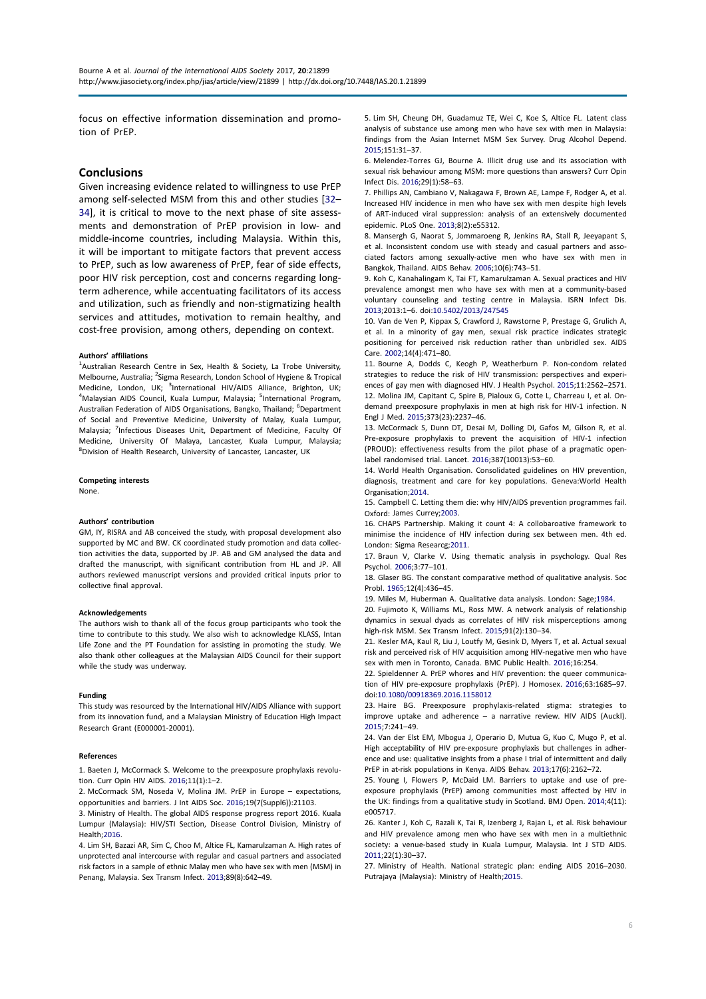focus on effective information dissemination and promotion of PrEP.

## **Conclusions**

<span id="page-5-27"></span>Given increasing evidence related to willingness to use PrEP among self-selected MSM from this and other studies [\[32](#page-6-4)– [34\]](#page-6-5), it is critical to move to the next phase of site assessments and demonstration of PrEP provision in low- and middle-income countries, including Malaysia. Within this, it will be important to mitigate factors that prevent access to PrEP, such as low awareness of PrEP, fear of side effects, poor HIV risk perception, cost and concerns regarding longterm adherence, while accentuating facilitators of its access and utilization, such as friendly and non-stigmatizing health services and attitudes, motivation to remain healthy, and cost-free provision, among others, depending on context.

#### Authors' affiliations <sup>1</sup>

 $<sup>1</sup>$ Australian Research Centre in Sex, Health & Society, La Trobe University,</sup> Melbourne, Australia; <sup>2</sup>Sigma Research, London School of Hygiene & Tropical Medicine, London, UK; <sup>3</sup>International HIV/AIDS Alliance, Brighton, UK; <sup>4</sup>Malaysian AIDS Council, Kuala Lumpur, Malaysia; <sup>5</sup>International Program, Australian Federation of AIDS Organisations, Bangko, Thailand; <sup>6</sup>Department of Social and Preventive Medicine, University of Malay, Kuala Lumpur, Malaysia; <sup>7</sup>Infectious Diseases Unit, Department of Medicine, Faculty Of Medicine, University Of Malaya, Lancaster, Kuala Lumpur, Malaysia; 8 Division of Health Research, University of Lancaster, Lancaster, UK

Competing interests

None.

#### Authors' contribution

GM, IY, RISRA and AB conceived the study, with proposal development also supported by MC and BW. CK coordinated study promotion and data collection activities the data, supported by JP. AB and GM analysed the data and drafted the manuscript, with significant contribution from HL and JP. All authors reviewed manuscript versions and provided critical inputs prior to collective final approval.

#### Acknowledgements

The authors wish to thank all of the focus group participants who took the time to contribute to this study. We also wish to acknowledge KLASS, Intan Life Zone and the PT Foundation for assisting in promoting the study. We also thank other colleagues at the Malaysian AIDS Council for their support while the study was underway.

#### Funding

This study was resourced by the International HIV/AIDS Alliance with support from its innovation fund, and a Malaysian Ministry of Education High Impact Research Grant (E000001-20001).

#### References

<span id="page-5-0"></span>1. Baeten J, McCormack S. Welcome to the preexposure prophylaxis revolution. Curr Opin HIV AIDS. [2016;](#page-0-0)11(1):1–2.

<span id="page-5-1"></span>2. McCormack SM, Noseda V, Molina JM. PrEP in Europe – expectations, opportunities and barriers. J Int AIDS Soc. [2016](#page-0-0);19(7(Suppl6)):21103.

<span id="page-5-2"></span>3. Ministry of Health. The global AIDS response progress report 2016. Kuala Lumpur (Malaysia): HIV/STI Section, Disease Control Division, Ministry of Health[;2016](#page-0-1).

<span id="page-5-3"></span>4. Lim SH, Bazazi AR, Sim C, Choo M, Altice FL, Kamarulzaman A. High rates of unprotected anal intercourse with regular and casual partners and associated risk factors in a sample of ethnic Malay men who have sex with men (MSM) in Penang, Malaysia. Sex Transm Infect. [2013;](#page-0-2)89(8):642–49.

<span id="page-5-4"></span>5. Lim SH, Cheung DH, Guadamuz TE, Wei C, Koe S, Altice FL. Latent class analysis of substance use among men who have sex with men in Malaysia: findings from the Asian Internet MSM Sex Survey. Drug Alcohol Depend. [2015;](#page-0-3)151:31–37.

<span id="page-5-5"></span>6. Melendez-Torres GJ, Bourne A. Illicit drug use and its association with sexual risk behaviour among MSM: more questions than answers? Curr Opin Infect Dis. [2016](#page-0-4);29(1):58–63.

<span id="page-5-6"></span>7. Phillips AN, Cambiano V, Nakagawa F, Brown AE, Lampe F, Rodger A, et al. Increased HIV incidence in men who have sex with men despite high levels of ART-induced viral suppression: analysis of an extensively documented epidemic. PLoS One. [2013;](#page-0-5)8(2):e55312.

<span id="page-5-7"></span>8. Mansergh G, Naorat S, Jommaroeng R, Jenkins RA, Stall R, Jeeyapant S, et al. Inconsistent condom use with steady and casual partners and associated factors among sexually-active men who have sex with men in Bangkok, Thailand. AIDS Behav. [2006;](#page-0-5)10(6):743–51.

<span id="page-5-8"></span>9. Koh C, Kanahalingam K, Tai FT, Kamarulzaman A. Sexual practices and HIV prevalence amongst men who have sex with men at a community-based voluntary counseling and testing centre in Malaysia. ISRN Infect Dis. [2013;](#page-0-5)2013:1–6. doi:[10.5402/2013/247545](http://dx.doi.org/10.5402/2013/247545)

<span id="page-5-9"></span>10. Van de Ven P, Kippax S, Crawford J, Rawstorne P, Prestage G, Grulich A, et al. In a minority of gay men, sexual risk practice indicates strategic positioning for perceived risk reduction rather than unbridled sex. AIDS Care. [2002;](#page-0-6)14(4):471–80.

<span id="page-5-11"></span><span id="page-5-10"></span>11. Bourne A, Dodds C, Keogh P, Weatherburn P. Non-condom related strategies to reduce the risk of HIV transmission: perspectives and experiences of gay men with diagnosed HIV. J Health Psychol. [2015](#page-0-6);11:2562–2571. 12. Molina JM, Capitant C, Spire B, Pialoux G, Cotte L, Charreau I, et al. Ondemand preexposure prophylaxis in men at high risk for HIV-1 infection. N Engl J Med. [2015;](#page-0-7)373(23):2237–46.

<span id="page-5-12"></span>13. McCormack S, Dunn DT, Desai M, Dolling DI, Gafos M, Gilson R, et al. Pre-exposure prophylaxis to prevent the acquisition of HIV-1 infection (PROUD): effectiveness results from the pilot phase of a pragmatic openlabel randomised trial. Lancet. [2016](#page-0-7);387(10013):53–60.

<span id="page-5-13"></span>14. World Health Organisation. Consolidated guidelines on HIV prevention, diagnosis, treatment and care for key populations. Geneva:World Health Organisation;[2014](#page-1-1).

<span id="page-5-14"></span>15. Campbell C. Letting them die: why HIV/AIDS prevention programmes fail. Oxford: James Currey;[2003](#page-1-2).

<span id="page-5-15"></span>16. CHAPS Partnership. Making it count 4: A collobaroative framework to minimise the incidence of HIV infection during sex between men. 4th ed. London: Sigma Researcg;[2011](#page-1-2).

<span id="page-5-16"></span>17. Braun V, Clarke V. Using thematic analysis in psychology. Qual Res Psychol. [2006](#page-2-0);3:77–101.

<span id="page-5-17"></span>18. Glaser BG. The constant comparative method of qualitative analysis. Soc Probl. [1965;](#page-2-1)12(4):436–45.

<span id="page-5-18"></span>19. Miles M, Huberman A. Qualitative data analysis. London: Sage[;1984](#page-2-2).

<span id="page-5-19"></span>20. Fujimoto K, Williams ML, Ross MW. A network analysis of relationship dynamics in sexual dyads as correlates of HIV risk misperceptions among high-risk MSM. Sex Transm Infect. [2015;](#page-3-0)91(2):130–34.

<span id="page-5-20"></span>21. Kesler MA, Kaul R, Liu J, Loutfy M, Gesink D, Myers T, et al. Actual sexual risk and perceived risk of HIV acquisition among HIV-negative men who have sex with men in Toronto, Canada. BMC Public Health. [2016](#page-3-0);16:254.

<span id="page-5-21"></span>22. Spieldenner A. PrEP whores and HIV prevention: the queer communication of HIV pre-exposure prophylaxis (PrEP). J Homosex. [2016](#page-4-0);63:1685–97. doi:[10.1080/00918369.2016.1158012](http://dx.doi.org/10.1080/00918369.2016.1158012)

<span id="page-5-22"></span>23. Haire BG. Preexposure prophylaxis-related stigma: strategies to improve uptake and adherence – a narrative review. HIV AIDS (Auckl). [2015](#page-4-1);7:241–49.

<span id="page-5-23"></span>24. Van der Elst EM, Mbogua J, Operario D, Mutua G, Kuo C, Mugo P, et al. High acceptability of HIV pre-exposure prophylaxis but challenges in adherence and use: qualitative insights from a phase I trial of intermittent and daily PrEP in at-risk populations in Kenya. AIDS Behav. [2013](#page-4-2);17(6):2162–72.

<span id="page-5-24"></span>25. Young I, Flowers P, McDaid LM. Barriers to uptake and use of preexposure prophylaxis (PrEP) among communities most affected by HIV in the UK: findings from a qualitative study in Scotland. BMJ Open. [2014](#page-4-3);4(11): e005717.

<span id="page-5-25"></span>26. Kanter J, Koh C, Razali K, Tai R, Izenberg J, Rajan L, et al. Risk behaviour and HIV prevalence among men who have sex with men in a multiethnic society: a venue-based study in Kuala Lumpur, Malaysia. Int J STD AIDS. [2011;](#page-4-4)22(1):30–37.

<span id="page-5-26"></span>27. Ministry of Health. National strategic plan: ending AIDS 2016–2030. Putrajaya (Malaysia): Ministry of Health[;2015](#page-4-5).